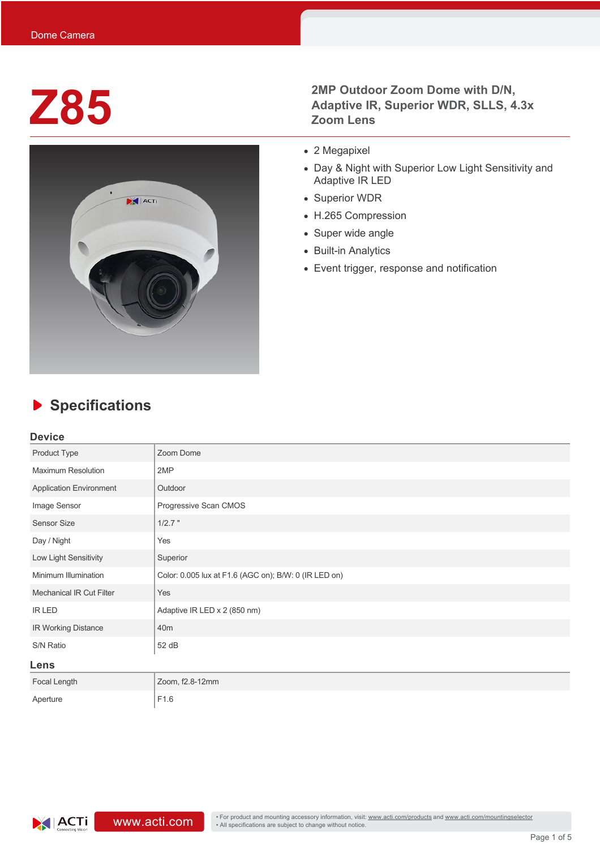

### **Z85** 2MP Outdoor Zoom Dome with D/N,<br>
Adaptive IR, Superior WDR, SLLS, 4<br>
Zoom Lens **Adaptive IR, Superior WDR, SLLS, 4.3x Zoom Lens**

- 2 Megapixel
- Day & Night with Superior Low Light Sensitivity and Adaptive IR LED
- Superior WDR
- H.265 Compression
- Super wide angle
- Built-in Analytics
- Event trigger, response and notification

# **Specifications**

#### **Device**

| Product Type                    | Zoom Dome                                             |  |  |  |
|---------------------------------|-------------------------------------------------------|--|--|--|
| <b>Maximum Resolution</b>       | 2MP                                                   |  |  |  |
| <b>Application Environment</b>  | Outdoor                                               |  |  |  |
| Image Sensor                    | Progressive Scan CMOS                                 |  |  |  |
| <b>Sensor Size</b>              | $1/2.7$ "                                             |  |  |  |
| Day / Night                     | Yes                                                   |  |  |  |
| Low Light Sensitivity           | Superior                                              |  |  |  |
| Minimum Illumination            | Color: 0.005 lux at F1.6 (AGC on); B/W: 0 (IR LED on) |  |  |  |
| <b>Mechanical IR Cut Filter</b> | Yes                                                   |  |  |  |
| <b>IR LED</b>                   | Adaptive IR LED x 2 (850 nm)                          |  |  |  |
| IR Working Distance             | 40 <sub>m</sub>                                       |  |  |  |
| S/N Ratio                       | 52 dB                                                 |  |  |  |
| Lens                            |                                                       |  |  |  |
| Focal Length                    | Zoom, f2.8-12mm                                       |  |  |  |
| Aperture                        | F1.6                                                  |  |  |  |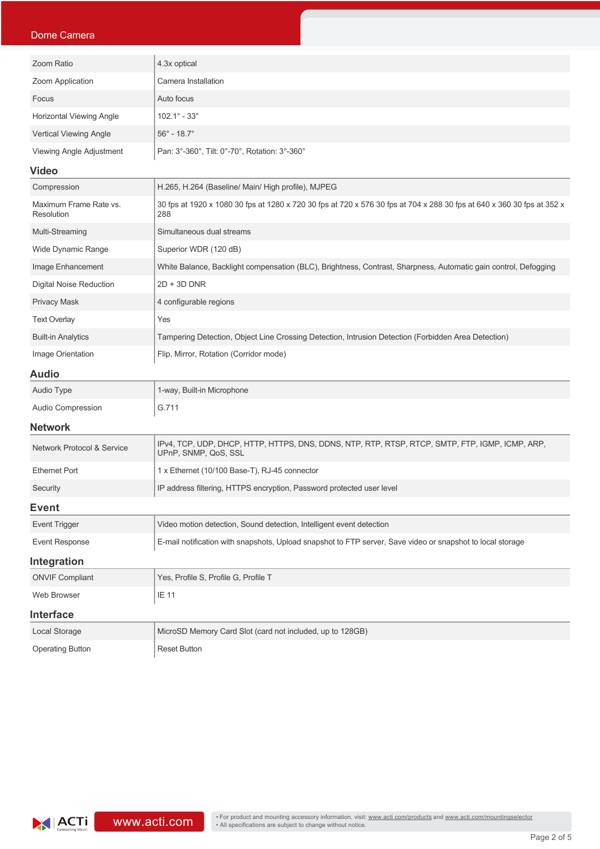#### Dome Camera

| Zoom Ratio                    | 4.3x optical                                  |
|-------------------------------|-----------------------------------------------|
| Zoom Application              | Camera Installation                           |
| Focus                         | Auto focus                                    |
| Horizontal Viewing Angle      | $102.1^\circ - 33^\circ$                      |
| <b>Vertical Viewing Angle</b> | $56^{\circ}$ - 18.7 $^{\circ}$                |
| Viewing Angle Adjustment      | Pan: 3°-360°, Tilt: 0°-70°, Rotation: 3°-360° |
| .                             |                                               |

#### **Video**

| Compression                          | H.265, H.264 (Baseline/ Main/ High profile), MJPEG                                                                            |  |  |  |
|--------------------------------------|-------------------------------------------------------------------------------------------------------------------------------|--|--|--|
| Maximum Frame Rate vs.<br>Resolution | 30 fps at 1920 x 1080 30 fps at 1280 x 720 30 fps at 720 x 576 30 fps at 704 x 288 30 fps at 640 x 360 30 fps at 352 x<br>288 |  |  |  |
| Multi-Streaming                      | Simultaneous dual streams                                                                                                     |  |  |  |
| Wide Dynamic Range                   | Superior WDR (120 dB)                                                                                                         |  |  |  |
| Image Enhancement                    | White Balance, Backlight compensation (BLC), Brightness, Contrast, Sharpness, Automatic gain control, Defogging               |  |  |  |
| <b>Digital Noise Reduction</b>       | $2D + 3D$ DNR                                                                                                                 |  |  |  |
| <b>Privacy Mask</b>                  | 4 configurable regions                                                                                                        |  |  |  |
| <b>Text Overlay</b>                  | Yes                                                                                                                           |  |  |  |
| <b>Built-in Analytics</b>            | Tampering Detection, Object Line Crossing Detection, Intrusion Detection (Forbidden Area Detection)                           |  |  |  |
| Image Orientation                    | Flip, Mirror, Rotation (Corridor mode)                                                                                        |  |  |  |

#### **Audio**

| Audio Type        | 1-way, Built-in Microphone |
|-------------------|----------------------------|
| Audio Compression | G.711                      |

#### **Network**

| <b>Network Protocol &amp; Service</b> | IPV4, TCP, UDP, DHCP, HTTP, HTTPS, DNS, DDNS, NTP, RTP, RTSP, RTCP, SMTP, FTP, IGMP, ICMP, ARP,<br>UPnP, SNMP, QoS, SSL |  |  |
|---------------------------------------|-------------------------------------------------------------------------------------------------------------------------|--|--|
| <b>Ethernet Port</b>                  | 1 x Ethernet (10/100 Base-T), RJ-45 connector                                                                           |  |  |
| Security                              | IP address filtering, HTTPS encryption, Password protected user level                                                   |  |  |
| Event                                 |                                                                                                                         |  |  |
| <b>Event Trigger</b>                  | Video motion detection, Sound detection, Intelligent event detection                                                    |  |  |
| Event Response                        | E-mail notification with snapshots, Upload snapshot to FTP server, Save video or snapshot to local storage              |  |  |
| Integration                           |                                                                                                                         |  |  |
| <b>ONVIF Compliant</b>                | Yes, Profile S, Profile G, Profile T                                                                                    |  |  |
| Web Browser                           | IE 11                                                                                                                   |  |  |
|                                       |                                                                                                                         |  |  |

#### **Interface**

| Local Storage    | MicroSD Memory Card Slot (card not included, up to 128GB) |
|------------------|-----------------------------------------------------------|
| Operating Button | Reset Button                                              |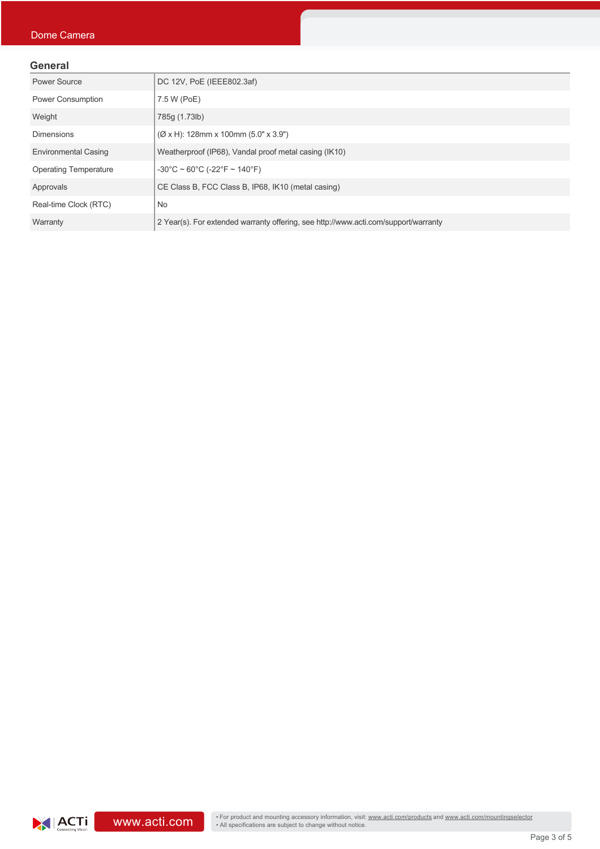#### **General**

| Power Source                 | DC 12V, PoE (IEEE802.3af)                                                           |  |  |
|------------------------------|-------------------------------------------------------------------------------------|--|--|
| <b>Power Consumption</b>     | 7.5 W (PoE)                                                                         |  |  |
| Weight                       | 785g (1.73lb)                                                                       |  |  |
| <b>Dimensions</b>            | $(\emptyset$ x H): 128mm x 100mm (5.0" x 3.9")                                      |  |  |
| <b>Environmental Casing</b>  | Weatherproof (IP68), Vandal proof metal casing (IK10)                               |  |  |
| <b>Operating Temperature</b> | $-30^{\circ}$ C ~ 60 $^{\circ}$ C (-22 $^{\circ}$ F ~ 140 $^{\circ}$ F)             |  |  |
| Approvals                    | CE Class B, FCC Class B, IP68, IK10 (metal casing)                                  |  |  |
| Real-time Clock (RTC)        | No                                                                                  |  |  |
| Warranty                     | 2 Year(s). For extended warranty offering, see http://www.acti.com/support/warranty |  |  |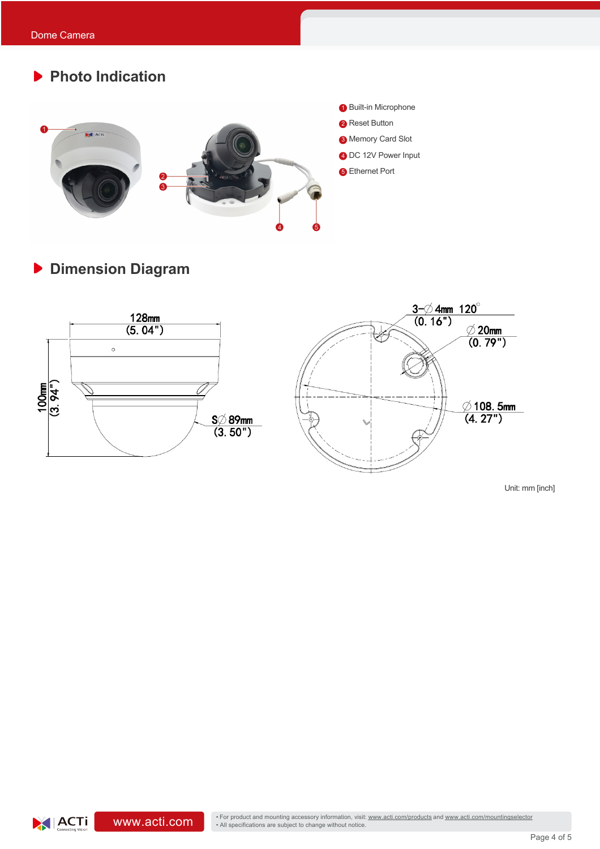# **Photo Indication 1** Built-in Microphone **2** Reset Button  $\overline{\mathbf{A}}$  Acti <sup>3</sup> Memory Card Slot 4 DC 12V Power Input **6** Ethernet Port

**Dimension Diagram**



Unit: mm [inch]

XIACTI

• For product and mounting accessory information, visit: www.acti.com/products and www.acti.com/mountingselector<br>• All specifications are subject to change without notice.